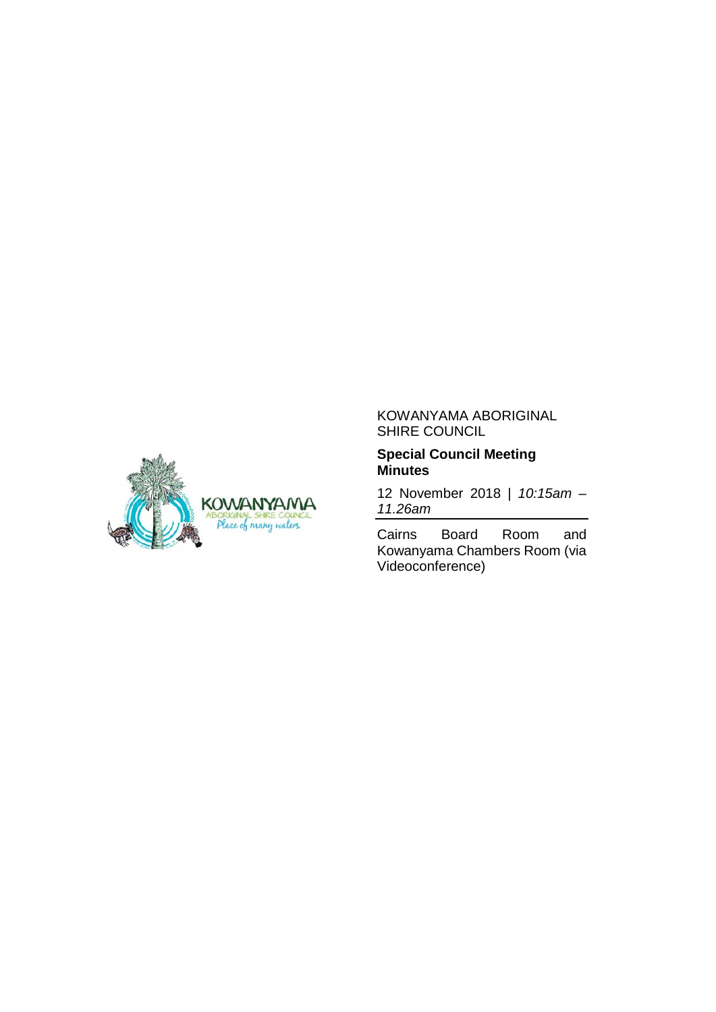

#### KOWANYAMA ABORIGINAL SHIRE COUNCIL

#### **Special Council Meeting Minutes**

12 November 2018 | *10:15am – 11.26am*

Cairns Board Room and Kowanyama Chambers Room (via Videoconference)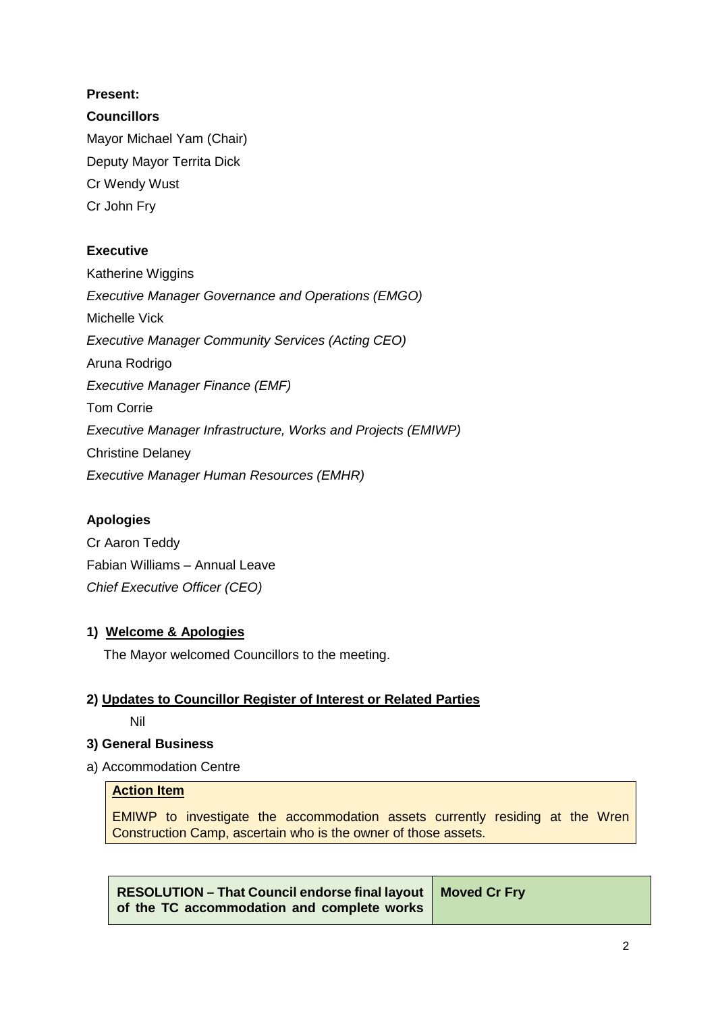### **Present:**

### **Councillors**

Mayor Michael Yam (Chair) Deputy Mayor Territa Dick Cr Wendy Wust Cr John Fry

### **Executive**

Katherine Wiggins *Executive Manager Governance and Operations (EMGO)* Michelle Vick *Executive Manager Community Services (Acting CEO)* Aruna Rodrigo *Executive Manager Finance (EMF)* Tom Corrie *Executive Manager Infrastructure, Works and Projects (EMIWP)* Christine Delaney *Executive Manager Human Resources (EMHR)*

## **Apologies**

Cr Aaron Teddy Fabian Williams – Annual Leave *Chief Executive Officer (CEO)*

#### **1) Welcome & Apologies**

The Mayor welcomed Councillors to the meeting.

## **2) Updates to Councillor Register of Interest or Related Parties**

Nil

#### **3) General Business**

a) Accommodation Centre

#### **Action Item**

EMIWP to investigate the accommodation assets currently residing at the Wren Construction Camp, ascertain who is the owner of those assets.

**RESOLUTION – That Council endorse final layout of the TC accommodation and complete works Moved Cr Fry**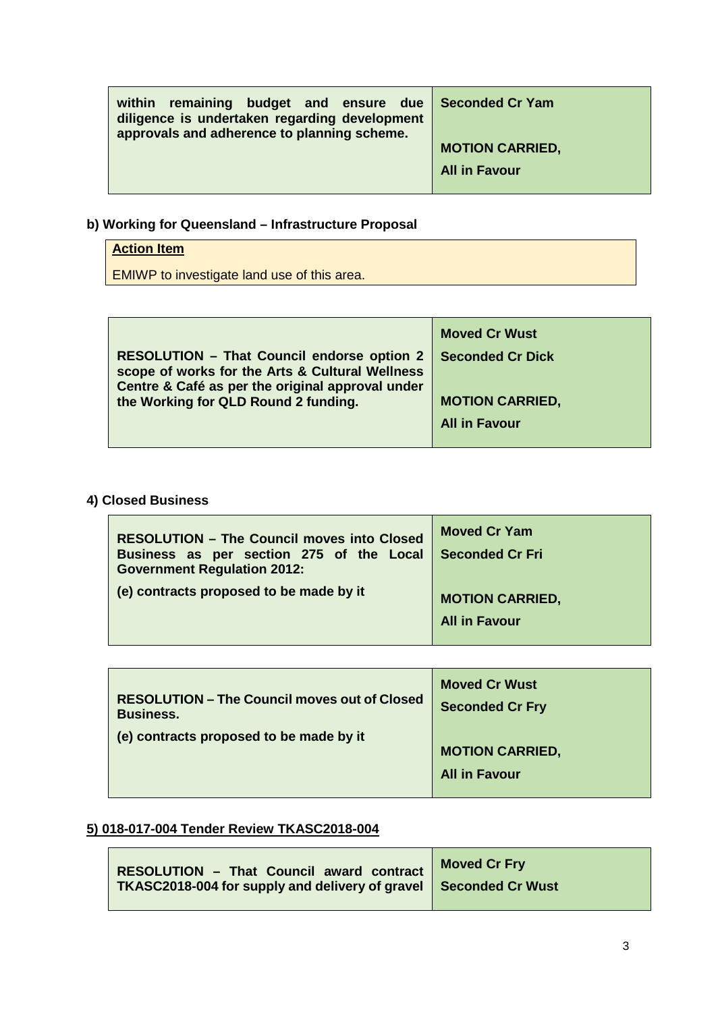| <b>remaining budget and ensure due</b><br>within<br>diligence is undertaken regarding development<br>approvals and adherence to planning scheme. | <b>Seconded Cr Yam</b> |
|--------------------------------------------------------------------------------------------------------------------------------------------------|------------------------|
|                                                                                                                                                  | <b>MOTION CARRIED,</b> |
|                                                                                                                                                  | <b>All in Favour</b>   |

# **b) Working for Queensland – Infrastructure Proposal**

# **Action Item**

EMIWP to investigate land use of this area.

|                                                                                                                                                          | <b>Moved Cr Wust</b>    |
|----------------------------------------------------------------------------------------------------------------------------------------------------------|-------------------------|
| <b>RESOLUTION - That Council endorse option 2</b><br>scope of works for the Arts & Cultural Wellness<br>Centre & Café as per the original approval under | <b>Seconded Cr Dick</b> |
| the Working for QLD Round 2 funding.                                                                                                                     | <b>MOTION CARRIED,</b>  |
|                                                                                                                                                          | <b>All in Favour</b>    |
|                                                                                                                                                          |                         |

## **4) Closed Business**

| <b>RESOLUTION - The Council moves into Closed</b><br>Business as per section 275 of the Local<br><b>Government Regulation 2012:</b> | <b>Moved Cr Yam</b><br><b>Seconded Cr Fri</b> |
|-------------------------------------------------------------------------------------------------------------------------------------|-----------------------------------------------|
| (e) contracts proposed to be made by it                                                                                             | <b>MOTION CARRIED,</b>                        |
|                                                                                                                                     | <b>All in Favour</b>                          |

| <b>RESOLUTION - The Council moves out of Closed</b><br><b>Business.</b> | <b>Moved Cr Wust</b><br><b>Seconded Cr Fry</b> |
|-------------------------------------------------------------------------|------------------------------------------------|
| (e) contracts proposed to be made by it                                 |                                                |
|                                                                         | <b>MOTION CARRIED,</b>                         |
|                                                                         | <b>All in Favour</b>                           |
|                                                                         |                                                |

# **5) 018-017-004 Tender Review TKASC2018-004**

| <b>RESOLUTION - That Council award contract</b>                    | <b>Moved Cr Fry</b> |
|--------------------------------------------------------------------|---------------------|
| TKASC2018-004 for supply and delivery of gravel   Seconded Cr Wust |                     |